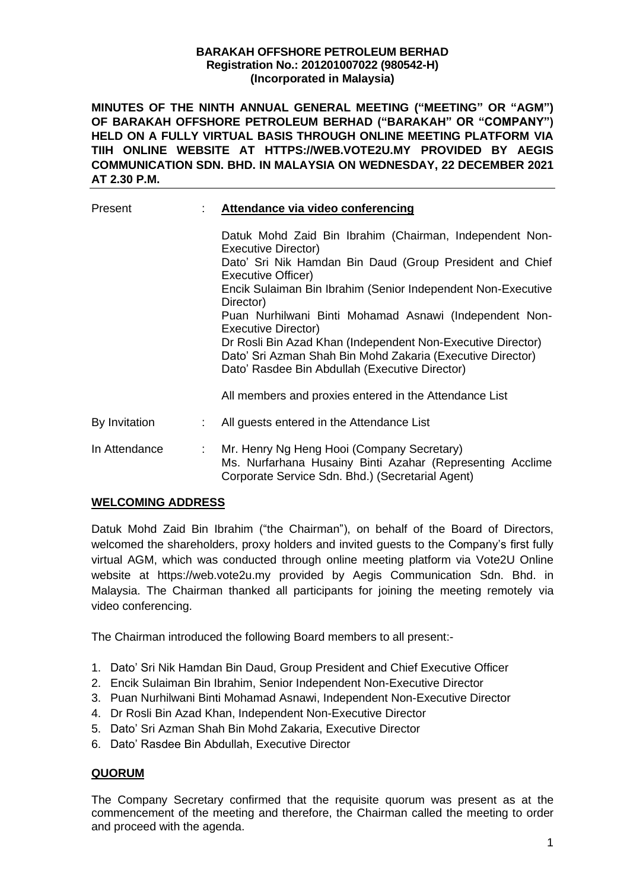#### **BARAKAH OFFSHORE PETROLEUM BERHAD Registration No.: 201201007022 (980542-H) (Incorporated in Malaysia)**

**MINUTES OF THE NINTH ANNUAL GENERAL MEETING ("MEETING" OR "AGM") OF BARAKAH OFFSHORE PETROLEUM BERHAD ("BARAKAH" OR "COMPANY") HELD ON A FULLY VIRTUAL BASIS THROUGH ONLINE MEETING PLATFORM VIA TIIH ONLINE WEBSITE AT HTTPS://WEB.VOTE2U.MY PROVIDED BY AEGIS COMMUNICATION SDN. BHD. IN MALAYSIA ON WEDNESDAY, 22 DECEMBER 2021 AT 2.30 P.M.**

| Present       | Attendance via video conferencing                                                                                                                                           |  |  |  |  |
|---------------|-----------------------------------------------------------------------------------------------------------------------------------------------------------------------------|--|--|--|--|
|               | Datuk Mohd Zaid Bin Ibrahim (Chairman, Independent Non-<br>Executive Director)                                                                                              |  |  |  |  |
|               | Dato' Sri Nik Hamdan Bin Daud (Group President and Chief<br>Executive Officer)                                                                                              |  |  |  |  |
|               | Encik Sulaiman Bin Ibrahim (Senior Independent Non-Executive<br>Director)                                                                                                   |  |  |  |  |
|               | Puan Nurhilwani Binti Mohamad Asnawi (Independent Non-<br>Executive Director)                                                                                               |  |  |  |  |
|               | Dr Rosli Bin Azad Khan (Independent Non-Executive Director)<br>Dato' Sri Azman Shah Bin Mohd Zakaria (Executive Director)<br>Dato' Rasdee Bin Abdullah (Executive Director) |  |  |  |  |
|               | All members and proxies entered in the Attendance List                                                                                                                      |  |  |  |  |
| By Invitation | All guests entered in the Attendance List                                                                                                                                   |  |  |  |  |
| In Attendance | Mr. Henry Ng Heng Hooi (Company Secretary)<br>Ms. Nurfarhana Husainy Binti Azahar (Representing Acclime<br>Corporate Service Sdn. Bhd.) (Secretarial Agent)                 |  |  |  |  |

# **WELCOMING ADDRESS**

Datuk Mohd Zaid Bin Ibrahim ("the Chairman"), on behalf of the Board of Directors, welcomed the shareholders, proxy holders and invited guests to the Company's first fully virtual AGM, which was conducted through online meeting platform via Vote2U Online website at https://web.vote2u.my provided by Aegis Communication Sdn. Bhd. in Malaysia. The Chairman thanked all participants for joining the meeting remotely via video conferencing.

The Chairman introduced the following Board members to all present:-

- 1. Dato' Sri Nik Hamdan Bin Daud, Group President and Chief Executive Officer
- 2. Encik Sulaiman Bin Ibrahim, Senior Independent Non-Executive Director
- 3. Puan Nurhilwani Binti Mohamad Asnawi, Independent Non-Executive Director
- 4. Dr Rosli Bin Azad Khan, Independent Non-Executive Director
- 5. Dato' Sri Azman Shah Bin Mohd Zakaria, Executive Director
- 6. Dato' Rasdee Bin Abdullah, Executive Director

# **QUORUM**

The Company Secretary confirmed that the requisite quorum was present as at the commencement of the meeting and therefore, the Chairman called the meeting to order and proceed with the agenda.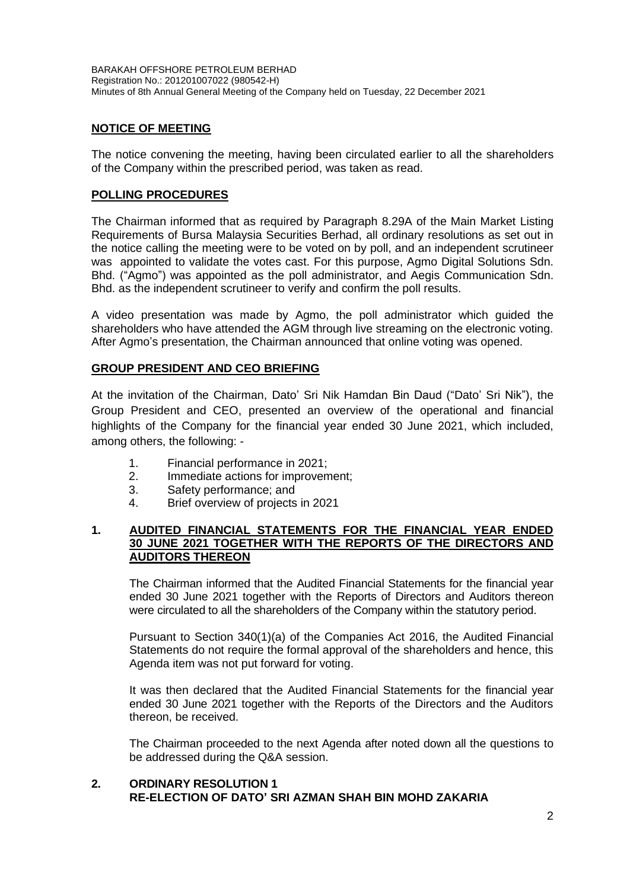BARAKAH OFFSHORE PETROLEUM BERHAD Registration No.: 201201007022 (980542-H) Minutes of 8th Annual General Meeting of the Company held on Tuesday, 22 December 2021

## **NOTICE OF MEETING**

The notice convening the meeting, having been circulated earlier to all the shareholders of the Company within the prescribed period, was taken as read.

# **POLLING PROCEDURES**

The Chairman informed that as required by Paragraph 8.29A of the Main Market Listing Requirements of Bursa Malaysia Securities Berhad, all ordinary resolutions as set out in the notice calling the meeting were to be voted on by poll, and an independent scrutineer was appointed to validate the votes cast. For this purpose, Agmo Digital Solutions Sdn. Bhd. ("Agmo") was appointed as the poll administrator, and Aegis Communication Sdn. Bhd. as the independent scrutineer to verify and confirm the poll results.

A video presentation was made by Agmo, the poll administrator which guided the shareholders who have attended the AGM through live streaming on the electronic voting. After Agmo's presentation, the Chairman announced that online voting was opened.

## **GROUP PRESIDENT AND CEO BRIEFING**

At the invitation of the Chairman, Dato' Sri Nik Hamdan Bin Daud ("Dato' Sri Nik"), the Group President and CEO, presented an overview of the operational and financial highlights of the Company for the financial year ended 30 June 2021, which included, among others, the following: -

- 1. Financial performance in 2021;
- 2. Immediate actions for improvement;
- 3. Safety performance; and
- 4. Brief overview of projects in 2021

#### **1. AUDITED FINANCIAL STATEMENTS FOR THE FINANCIAL YEAR ENDED 30 JUNE 2021 TOGETHER WITH THE REPORTS OF THE DIRECTORS AND AUDITORS THEREON**

The Chairman informed that the Audited Financial Statements for the financial year ended 30 June 2021 together with the Reports of Directors and Auditors thereon were circulated to all the shareholders of the Company within the statutory period.

Pursuant to Section 340(1)(a) of the Companies Act 2016, the Audited Financial Statements do not require the formal approval of the shareholders and hence, this Agenda item was not put forward for voting.

It was then declared that the Audited Financial Statements for the financial year ended 30 June 2021 together with the Reports of the Directors and the Auditors thereon, be received.

The Chairman proceeded to the next Agenda after noted down all the questions to be addressed during the Q&A session.

# **2. ORDINARY RESOLUTION 1 RE-ELECTION OF DATO' SRI AZMAN SHAH BIN MOHD ZAKARIA**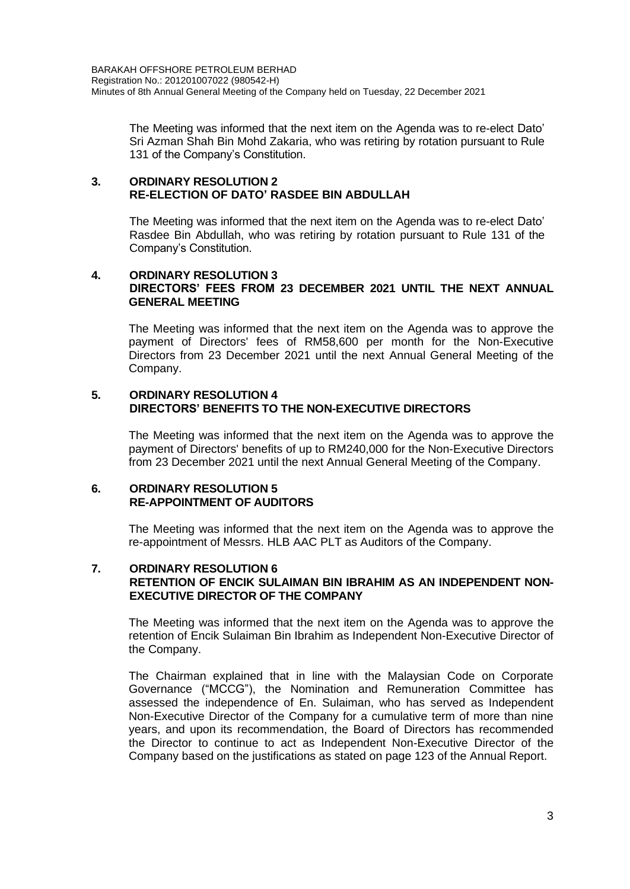The Meeting was informed that the next item on the Agenda was to re-elect Dato' Sri Azman Shah Bin Mohd Zakaria, who was retiring by rotation pursuant to Rule 131 of the Company's Constitution.

#### **3. ORDINARY RESOLUTION 2 RE-ELECTION OF DATO' RASDEE BIN ABDULLAH**

The Meeting was informed that the next item on the Agenda was to re-elect Dato' Rasdee Bin Abdullah, who was retiring by rotation pursuant to Rule 131 of the Company's Constitution.

## **4. ORDINARY RESOLUTION 3 DIRECTORS' FEES FROM 23 DECEMBER 2021 UNTIL THE NEXT ANNUAL GENERAL MEETING**

The Meeting was informed that the next item on the Agenda was to approve the payment of Directors' fees of RM58,600 per month for the Non-Executive Directors from 23 December 2021 until the next Annual General Meeting of the Company.

#### **5. ORDINARY RESOLUTION 4 DIRECTORS' BENEFITS TO THE NON-EXECUTIVE DIRECTORS**

The Meeting was informed that the next item on the Agenda was to approve the payment of Directors' benefits of up to RM240,000 for the Non-Executive Directors from 23 December 2021 until the next Annual General Meeting of the Company.

## **6. ORDINARY RESOLUTION 5 RE-APPOINTMENT OF AUDITORS**

The Meeting was informed that the next item on the Agenda was to approve the re-appointment of Messrs. HLB AAC PLT as Auditors of the Company.

## **7. ORDINARY RESOLUTION 6 RETENTION OF ENCIK SULAIMAN BIN IBRAHIM AS AN INDEPENDENT NON-EXECUTIVE DIRECTOR OF THE COMPANY**

The Meeting was informed that the next item on the Agenda was to approve the retention of Encik Sulaiman Bin Ibrahim as Independent Non-Executive Director of the Company.

The Chairman explained that in line with the Malaysian Code on Corporate Governance ("MCCG"), the Nomination and Remuneration Committee has assessed the independence of En. Sulaiman, who has served as Independent Non-Executive Director of the Company for a cumulative term of more than nine years, and upon its recommendation, the Board of Directors has recommended the Director to continue to act as Independent Non-Executive Director of the Company based on the justifications as stated on page 123 of the Annual Report.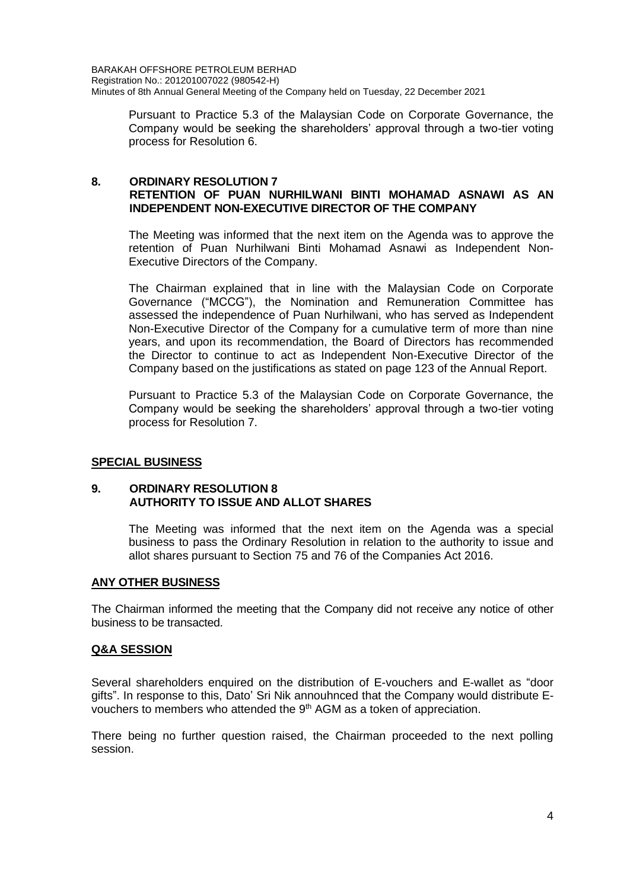Pursuant to Practice 5.3 of the Malaysian Code on Corporate Governance, the Company would be seeking the shareholders' approval through a two-tier voting process for Resolution 6.

#### **8. ORDINARY RESOLUTION 7 RETENTION OF PUAN NURHILWANI BINTI MOHAMAD ASNAWI AS AN INDEPENDENT NON-EXECUTIVE DIRECTOR OF THE COMPANY**

The Meeting was informed that the next item on the Agenda was to approve the retention of Puan Nurhilwani Binti Mohamad Asnawi as Independent Non-Executive Directors of the Company.

The Chairman explained that in line with the Malaysian Code on Corporate Governance ("MCCG"), the Nomination and Remuneration Committee has assessed the independence of Puan Nurhilwani, who has served as Independent Non-Executive Director of the Company for a cumulative term of more than nine years, and upon its recommendation, the Board of Directors has recommended the Director to continue to act as Independent Non-Executive Director of the Company based on the justifications as stated on page 123 of the Annual Report.

Pursuant to Practice 5.3 of the Malaysian Code on Corporate Governance, the Company would be seeking the shareholders' approval through a two-tier voting process for Resolution 7.

## **SPECIAL BUSINESS**

#### **9. ORDINARY RESOLUTION 8 AUTHORITY TO ISSUE AND ALLOT SHARES**

The Meeting was informed that the next item on the Agenda was a special business to pass the Ordinary Resolution in relation to the authority to issue and allot shares pursuant to Section 75 and 76 of the Companies Act 2016.

## **ANY OTHER BUSINESS**

The Chairman informed the meeting that the Company did not receive any notice of other business to be transacted.

## **Q&A SESSION**

Several shareholders enquired on the distribution of E-vouchers and E-wallet as "door gifts". In response to this, Dato' Sri Nik annouhnced that the Company would distribute Evouchers to members who attended the  $9<sup>th</sup>$  AGM as a token of appreciation.

There being no further question raised, the Chairman proceeded to the next polling session.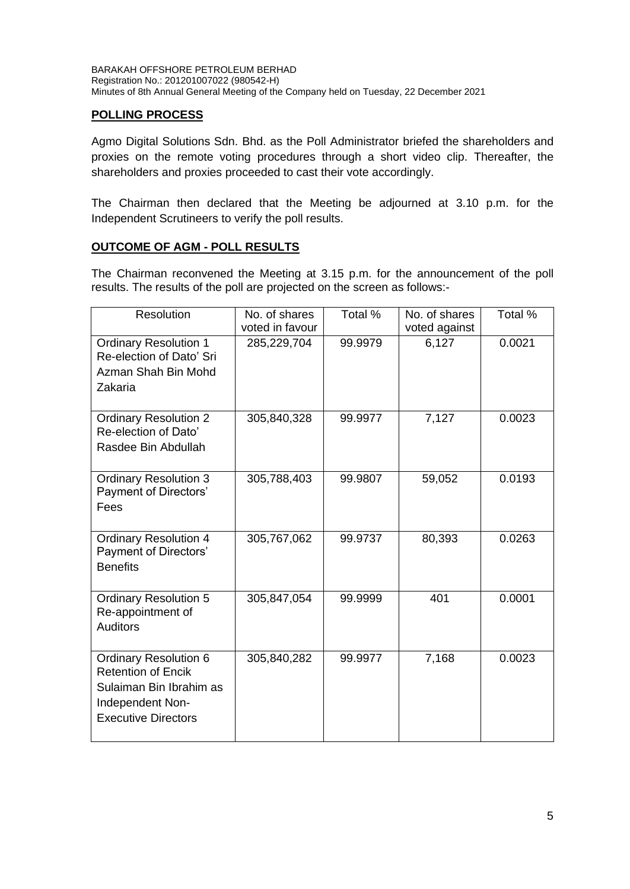# **POLLING PROCESS**

Agmo Digital Solutions Sdn. Bhd. as the Poll Administrator briefed the shareholders and proxies on the remote voting procedures through a short video clip. Thereafter, the shareholders and proxies proceeded to cast their vote accordingly.

The Chairman then declared that the Meeting be adjourned at 3.10 p.m. for the Independent Scrutineers to verify the poll results.

# **OUTCOME OF AGM - POLL RESULTS**

The Chairman reconvened the Meeting at 3.15 p.m. for the announcement of the poll results. The results of the poll are projected on the screen as follows:-

| Resolution                                                                                                                             | No. of shares<br>voted in favour | Total % | No. of shares<br>voted against | Total % |
|----------------------------------------------------------------------------------------------------------------------------------------|----------------------------------|---------|--------------------------------|---------|
| <b>Ordinary Resolution 1</b><br>Re-election of Dato' Sri<br>Azman Shah Bin Mohd<br>Zakaria                                             | 285,229,704                      | 99.9979 | 6,127                          | 0.0021  |
| <b>Ordinary Resolution 2</b><br>Re-election of Dato'<br>Rasdee Bin Abdullah                                                            | 305,840,328                      | 99.9977 | 7,127                          | 0.0023  |
| <b>Ordinary Resolution 3</b><br>Payment of Directors'<br>Fees                                                                          | 305,788,403                      | 99.9807 | 59,052                         | 0.0193  |
| <b>Ordinary Resolution 4</b><br>Payment of Directors'<br><b>Benefits</b>                                                               | 305,767,062                      | 99.9737 | 80,393                         | 0.0263  |
| <b>Ordinary Resolution 5</b><br>Re-appointment of<br><b>Auditors</b>                                                                   | 305,847,054                      | 99.9999 | 401                            | 0.0001  |
| <b>Ordinary Resolution 6</b><br><b>Retention of Encik</b><br>Sulaiman Bin Ibrahim as<br>Independent Non-<br><b>Executive Directors</b> | 305,840,282                      | 99.9977 | 7,168                          | 0.0023  |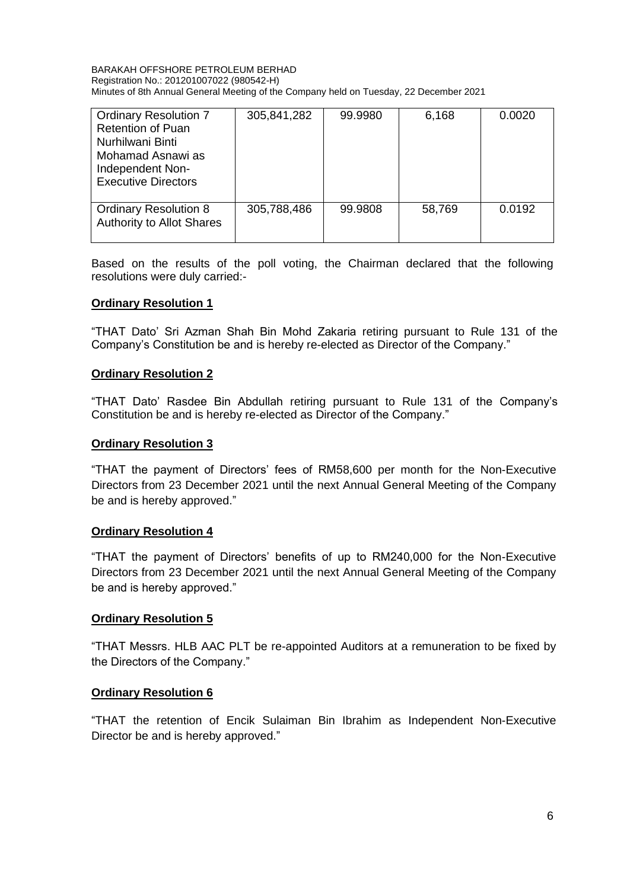#### BARAKAH OFFSHORE PETROLEUM BERHAD Registration No.: 201201007022 (980542-H) Minutes of 8th Annual General Meeting of the Company held on Tuesday, 22 December 2021

| <b>Ordinary Resolution 7</b><br><b>Retention of Puan</b><br>Nurhilwani Binti<br>Mohamad Asnawi as<br>Independent Non-<br><b>Executive Directors</b> | 305,841,282 | 99.9980 | 6,168  | 0.0020 |
|-----------------------------------------------------------------------------------------------------------------------------------------------------|-------------|---------|--------|--------|
| <b>Ordinary Resolution 8</b><br><b>Authority to Allot Shares</b>                                                                                    | 305,788,486 | 99.9808 | 58,769 | 0.0192 |

Based on the results of the poll voting, the Chairman declared that the following resolutions were duly carried:-

## **Ordinary Resolution 1**

"THAT Dato' Sri Azman Shah Bin Mohd Zakaria retiring pursuant to Rule 131 of the Company's Constitution be and is hereby re-elected as Director of the Company."

#### **Ordinary Resolution 2**

"THAT Dato' Rasdee Bin Abdullah retiring pursuant to Rule 131 of the Company's Constitution be and is hereby re-elected as Director of the Company."

#### **Ordinary Resolution 3**

"THAT the payment of Directors' fees of RM58,600 per month for the Non-Executive Directors from 23 December 2021 until the next Annual General Meeting of the Company be and is hereby approved."

#### **Ordinary Resolution 4**

"THAT the payment of Directors' benefits of up to RM240,000 for the Non-Executive Directors from 23 December 2021 until the next Annual General Meeting of the Company be and is hereby approved."

## **Ordinary Resolution 5**

"THAT Messrs. HLB AAC PLT be re-appointed Auditors at a remuneration to be fixed by the Directors of the Company."

## **Ordinary Resolution 6**

"THAT the retention of Encik Sulaiman Bin Ibrahim as Independent Non-Executive Director be and is hereby approved."